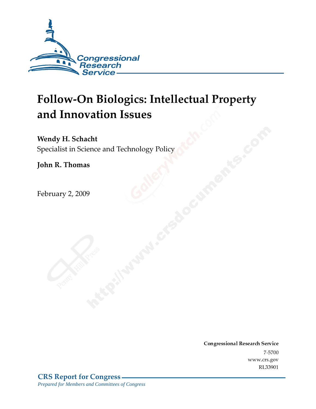

# **Follow-On Biologics: Intellectual Property** and Innovation Issues

Wendy H. Schacht

Specialist in Science and Technology Policy

John R. Thomas

February 2, 2009

Conglessional Research Service  $7 - 2700$ www.crs.gov RL33901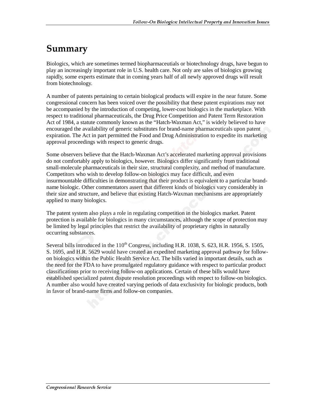# Summary

Biologics, which are sometimes termed biopharmaceutials or biotechnology drugs, have begun to play an increasingly important role in U.S. health care. Not only are sales of biologics growing rapidly, some experts estimate that in coming years half of all newly approved drugs will result from biotechnology.

A number of patents pertaining to certain biological products will expire in the near future. Some congressional concern has been voiced over the possibility that these patent expirations may not be accompanied by the introduction of competing, lower-cost biologics in the marketplace. With respect to traditional pharmaceuticals, the Drug Price Competition and Patent Term Restoration Act of 1984, a statute commonly known as the "Hatch-Waxman Act," is widely believed to have encouraged the availability of generic substitutes for brand-name pharmaceuticals upon patent expiration. The Act in part permitted the Food and Drug Administration to expedite its marketing approval proceedings with respect to generic drugs.

Some observers believe that the Hatch-Waxman Act's accelerated marketing approval provisions do not comfortably apply to biologics, however. Biologics differ significantly from traditional small-molecule pharmaceuticals in their size, structural complexity, and method of manufacture. Competitors who wish to develop follow-on biologics may face difficult, and even insurmountable difficulties in demonstrating that their product is equivalent to a particular brandname biologic. Other commentators assert that different kinds of biologics vary considerably in their size and structure, and believe that existing Hatch-Waxman mechanisms are appropriately applied to many biologics.

The patent system also plays a role in regulating competition in the biologics market. Patent protection is available for biologics in many circumstances, although the scope of protection may be limited by legal principles that restrict the availability of proprietary rights in naturally occurring substances.

Several bills introduced in the  $110^{th}$  Congress, including H.R. 1038, S. 623, H.R. 1956, S. 1505, S. 1695, and H.R. 5629 would have created an expedited marketing approval pathway for followon biologics within the Public Health Service Act. The bills varied in important details, such as the need for the FDA to have promulgated regulatory guidance with respect to particular product classifications prior to receiving follow-on applications. Certain of these bills would have established specialized patent dispute resolution proceedings with respect to follow-on biologics. A number also would have created varying periods of data exclusivity for biologic products, both in favor of brand-name firms and follow-on companies.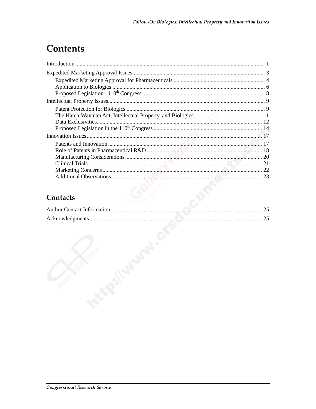# **Contents**

# Contacts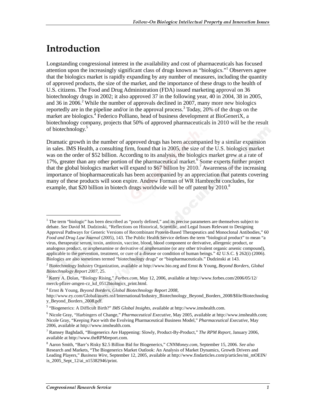# <u>Introduction</u>

j

Longstanding congressional interest in the availability and cost of pharmaceuticals has focused attention upon the increasingly significant class of drugs known as "biologics."<sup>1</sup> Observers agree that the biologics market is rapidly expanding by any number of measures, including the quantity of approved products, the size of the market, and the importance of these drugs to the health of U.S. citizens. The Food and Drug Administration (FDA) issued marketing approval on 36 biotechnology drugs in 2002; it also approved 37 in the following year, 40 in 2004, 38 in 2005, and 36 in 2006.<sup>2</sup> While the number of approvals declined in 2007, many more new biologics reportedly are in the pipeline and/or in the approval process.<sup>3</sup> Today, 20% of the drugs on the market are biologics.<sup>4</sup> Federico Polliano, head of business development at BioGeneriX, a biotechnology company, projects that 50% of approved pharmaceuticals in 2010 will be the result of biotechnology.<sup>5</sup>

Dramatic growth in the number of approved drugs has been accompanied by a similar expansion in sales. IMS Health, a consulting firm, found that in 2005, the size of the U.S. biologics market was on the order of \$52 billion. According to its analysis, the biologics market grew at a rate of 17%, greater than any other portion of the pharmaceutical market.<sup>6</sup> Some experts further project that the global biologics market will expand to  $$67$  billion by  $2010$ .<sup>7</sup> Awareness of the increasing importance of biopharmaceuticals has been accompanied by an appreciation that patents covering many of these products will soon expire. Andrew Forman of WR Hambrecht concludes, for example, that \$20 billion in biotech drugs worldwide will be off patent by  $2010<sup>8</sup>$ 

<sup>&</sup>lt;sup>1</sup> The term "biologic" has been described as "poorly defined," and its precise parameters are themselves subject to debate. *See* David M. Dudzinski, "Reflections on Historical, Scientific, and Legal Issues Relevant to Designing Approval Pathways for Generic Versions of Recombinant Protein-Based Therapeutics and Monoclonal Antibodies," 60 *Food and Drug Law Journal* (2005), 143. The Public Health Service defines the term "biological product" to mean "a virus, therapeutic serum, toxin, antitoxin, vaccine, blood, blood component or derivative, allergenic product, or analogous product, or arsphenamine or derivative of arsphenamine (or any other trivalent organic arsenic compound), applicable to the prevention, treatment, or cure of a disease or condition of human beings." 42 U.S.C. § 262(i) (2006). Biologics are also sometimes termed "biotechnology drugs" or "biopharmaceuticals." Dudzinski at 143.

<sup>2</sup> Biotechnology Industry Organization, available at http://www.bio.org and Ernst & Young, *Beyond Borders, Global Biotechnology Report 2007*, 25.

<sup>3</sup> Kerry A. Dolan, "Biology Rising," *Forbes.com*, May 12, 2006, available at http://www.forbes.com/2006/05/12/ merck-pfizer-amgen-cz\_kd\_0512biologics\_print.html.

<sup>4</sup> Ernst & Young, *Beyond Borders, Global Biotechnology Report 2008*,

http://www.ey.com/Global/assets.nsf/International/Industry\_Biotechnology\_Beyond\_Borders\_2008/\$file/Biotechnolog y\_Beyond\_Borders\_2008.pdf.

<sup>5</sup> "Biogenerics: A Difficult Birth?" *IMS Global Insights*, available at http://www.imshealth.com.

<sup>6</sup> Nicole Gray, "Harbingers of Change," *Pharmaceutical Executive*, May 2005, available at http://www.imshealth.com; Nicole Gray, "Keeping Pace with the Evolving Pharmaceutical Business Model," *Pharmaceutical Executive*, May 2006, available at http://www.imshealth.com.

<sup>7</sup> Ramsey Baghdadi, "Biogenerics Are Happening: Slowly, Product-By-Product," *The RPM Report*, January 2006, available at http://www.theRPMreport.com.

<sup>8</sup> Aaron Smith, "Barr's Risky \$2.5 Billion Bid for Biogenerics," *CNNMoney.com*, September 15, 2006. *See also* Research and Markets, "The Biogenerics Market Outlook: An Analysis of Market Dynamics, Growth Drivers and Leading Players," *Business Wire*, September 12, 2005, available at http://www.findarticles.com/p/articles/mi\_mOEIN/ is\_2005\_Sept\_12/ai\_n15382946/print.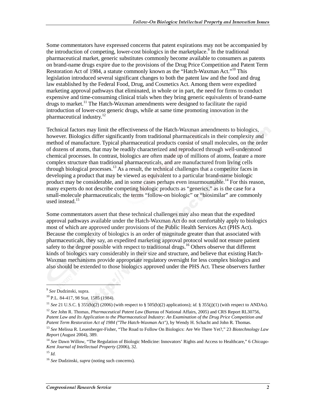Some commentators have expressed concerns that patent expirations may not be accompanied by the introduction of competing, lower-cost biologics in the marketplace.<sup>9</sup> In the traditional pharmaceutical market, generic substitutes commonly become available to consumers as patents on brand-name drugs expire due to the provisions of the Drug Price Competition and Patent Term Restoration Act of 1984, a statute commonly known as the "Hatch-Waxman Act."<sup>10</sup> This legislation introduced several significant changes to both the patent law and the food and drug law established by the Federal Food, Drug, and Cosmetics Act. Among them were expedited marketing approval pathways that eliminated, in whole or in part, the need for firms to conduct expensive and time-consuming clinical trials when they bring generic equivalents of brand-name drugs to market.<sup>11</sup> The Hatch-Waxman amendments were designed to facilitate the rapid introduction of lower-cost generic drugs, while at same time promoting innovation in the pharmaceutical industry.12

Technical factors may limit the effectiveness of the Hatch-Waxman amendments to biologics, however. Biologics differ significantly from traditional pharmaceuticals in their complexity and method of manufacture. Typical pharmaceutical products consist of small molecules, on the order of dozens of atoms, that may be readily characterized and reproduced through well-understood chemical processes. In contrast, biologics are often made up of millions of atoms, feature a more complex structure than traditional pharmaceuticals, and are manufactured from living cells through biological processes.<sup>13</sup> As a result, the technical challenges that a competitor faces in developing a product that may be viewed as equivalent to a particular brand-name biologic product may be considerable, and in some cases perhaps even insurmountable.<sup>14</sup> For this reason, many experts do not describe competing biologic products as "generics," as is the case for a small-molecule pharmaceuticals; the terms "follow-on biologic" or "biosimilar" are commonly used instead.15

Some commentators assert that these technical challenges may also mean that the expedited approval pathways available under the Hatch-Waxman Act do not comfortably apply to biologics most of which are approved under provisions of the Public Health Services Act (PHS Act). Because the complexity of biologics is an order of magnitude greater than that associated with pharmaceuticals, they say, an expedited marketing approval protocol would not ensure patient safety to the degree possible with respect to traditional drugs.<sup>16</sup> Others observe that different kinds of biologics vary considerably in their size and structure, and believe that existing Hatch-Waxman mechanisms provide appropriate regulatory oversight for less complex biologics and also should be extended to those biologics approved under the PHS Act. These observers further

1

<sup>9</sup> *See* Dudzinski*,* supra.

<sup>10</sup> P.L. 84-417, 98 Stat. 1585 (1984).

<sup>11</sup> *See* 21 U.S.C. § 355(b)(2) (2006) (with respect to § 505(b)(2) applications); *id.* § 355(j)(1) (with respect to ANDAs).

<sup>12</sup> *See* John R. Thomas, *Pharmaceutical Patent Law* (Bureau of National Affairs, 2005) and CRS Report RL30756, *Patent Law and Its Application to the Pharmaceutical Industry: An Examination of the Drug Price Competition and Patent Term Restoration Act of 1984 ("The Hatch-Waxman Act")*, by Wendy H. Schacht and John R. Thomas.

<sup>13</sup> *See* Melissa R. Leuenberger-Fisher, "The Road to Follow On Biologics: Are We There Yet?," 23 *Biotechnology Law Report* (August 2004), 389.

<sup>14</sup> *See* Dawn Willow, "The Regulation of Biologic Medicine: Innovators' Rights and Access to Healthcare," 6 *Chicago-Kent Journal of Intellectual Property* (2006), 32.

<sup>15</sup> *Id.*

<sup>16</sup> *See* Dudzinski, *supra* (noting such concerns).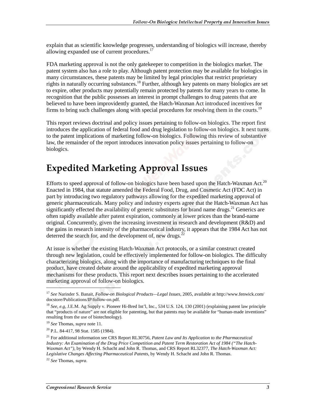explain that as scientific knowledge progresses, understanding of biologics will increase, thereby allowing expanded use of current procedures.<sup>17</sup>

FDA marketing approval is not the only gatekeeper to competition in the biologics market. The patent system also has a role to play. Although patent protection may be available for biologics in many circumstances, these patents may be limited by legal principles that restrict proprietary rights in naturally occurring substances.<sup>18</sup> Further, although key patents on many biologics are set to expire, other products may potentially remain protected by patents for many years to come. In recognition that the public possesses an interest in prompt challenges to drug patents that are believed to have been improvidently granted, the Hatch-Waxman Act introduced incentives for firms to bring such challenges along with special procedures for resolving them in the courts.<sup>19</sup>

This report reviews doctrinal and policy issues pertaining to follow-on biologics. The report first introduces the application of federal food and drug legislation to follow-on biologics. It next turns to the patent implications of marketing follow-on biologics. Following this review of substantive law, the remainder of the report introduces innovation policy issues pertaining to follow-on biologics.

# **Expedited Marketing Approval Issues**

Efforts to speed approval of follow-on biologics have been based upon the Hatch-Waxman Act.<sup>20</sup> Enacted in 1984, that statute amended the Federal Food, Drug, and Cosmetic Act (FDC Act) in part by introducing two regulatory pathways allowing for the expedited marketing approval of generic pharmaceuticals. Many policy and industry experts agree that the Hatch-Waxman Act has significantly effected the availability of generic substitutes for brand name drugs.<sup>21</sup> Generics are often rapidly available after patent expiration, commonly at lower prices than the brand-name original. Concurrently, given the increasing investment in research and development (R&D) and the gains in research intensity of the pharmaceutical industry, it appears that the 1984 Act has not deterred the search for, and the development of, new drugs. $<sup>2</sup>$ </sup>

At issue is whether the existing Hatch-Waxman Act protocols, or a similar construct created through new legislation, could be effectively implemented for follow-on biologics. The difficulty characterizing biologics, along with the importance of manufacturing techniques to the final product, have created debate around the applicability of expedited marketing approval mechanisms for these products. This report next describes issues pertaining to the accelerated marketing approval of follow-on biologics.

l

<sup>17</sup> *See* Narinder S. Banait, *Follow-on Biological Products—Legal Issues*, 2005, available at http://www.fenwick.com/ docstore/Publications/IP/follow-on.pdf.

<sup>18</sup> *See, e.g,* J.E.M. Ag Supply v. Pioneer Hi-Bred Int'l, Inc., 534 U.S. 124, 130 (2001) (explaining patent law principle that "products of nature" are not eligible for patenting, but that patents may be available for "human-made inventions" resulting from the use of biotechnology).

<sup>19</sup> *See* Thomas, *supra* note 11.

<sup>20</sup> P.L. 84-417, 98 Stat. 1585 (1984).

<sup>21</sup> For additional information see CRS Report RL30756, *Patent Law and Its Application to the Pharmaceutical Industry: An Examination of the Drug Price Competition and Patent Term Restoration Act of 1984 ("The Hatch-Waxman Act")*, by Wendy H. Schacht and John R. Thomas, and CRS Report RL32377, *The Hatch-Waxman Act: Legislative Changes Affecting Pharmaceutical Patents*, by Wendy H. Schacht and John R. Thomas.

<sup>22</sup> *See* Thomas, *supra*.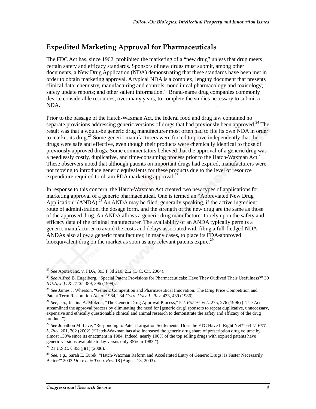### **Expedited Marketing Approval for Pharmaceuticals**

The FDC Act has, since 1962, prohibited the marketing of a "new drug" unless that drug meets certain safety and efficacy standards. Sponsors of new drugs must submit, among other documents, a New Drug Application (NDA) demonstrating that these standards have been met in order to obtain marketing approval. A typical NDA is a complex, lengthy document that presents clinical data; chemistry, manufacturing and controls; nonclinical pharmacology and toxicology; safety update reports; and other salient information.<sup>23</sup> Brand-name drug companies commonly devote considerable resources, over many years, to complete the studies necessary to submit a NDA.

Prior to the passage of the Hatch-Waxman Act, the federal food and drug law contained no separate provisions addressing generic versions of drugs that had previously been approved.<sup>24</sup> The result was that a would-be generic drug manufacturer most often had to file its own NDA in order to market its drug.<sup>25</sup> Some generic manufacturers were forced to prove independently that the drugs were safe and effective, even though their products were chemically identical to those of previously approved drugs. Some commentators believed that the approval of a generic drug was a needlessly costly, duplicative, and time-consuming process prior to the Hatch-Waxman Act.<sup>26</sup> These observers noted that although patents on important drugs had expired, manufacturers were not moving to introduce generic equivalents for these products due to the level of resource expenditure required to obtain FDA marketing approval.<sup>27</sup>

In response to this concern, the Hatch-Waxman Act created two new types of applications for marketing approval of a generic pharmaceutical. One is termed an "Abbreviated New Drug Application" (ANDA).<sup>28</sup> An ANDA may be filed, generally speaking, if the active ingredient, route of administration, the dosage form, and the strength of the new drug are the same as those of the approved drug. An ANDA allows a generic drug manufacturer to rely upon the safety and efficacy data of the original manufacturer. The availability of an ANDA typically permits a generic manufacturer to avoid the costs and delays associated with filing a full-fledged NDA. ANDAs also allow a generic manufacturer, in many cases, to place its FDA-approved bioequivalent drug on the market as soon as any relevant patents expire.<sup>29</sup>

<sup>23</sup> *See* Apotex Inc. v. FDA, 393 F.3d 210, 212 (D.C. Cir. 2004).

<sup>24</sup> *See* Alfred B. Engelberg, "Special Patent Provisions for Pharmaceuticals: Have They Outlived Their Usefulness?" 39 *IDEA: J. L. & TECH*. 389, 396 (1999).

<sup>&</sup>lt;sup>25</sup> See James J. Wheaton, "Generic Competition and Pharmaceutical Innovation: The Drug Price Competition and Patent Term Restoration Act of 1984," 34 *CATH. UNIV. L. REV.* 433, 439 (1986).

<sup>26</sup> *See, e.g.,* Justina A. Molzon, "The Generic Drug Approval Process," 5 *J. PHARM. & L.* 275, 276 (1996) ("The Act streamlined the approval process by eliminating the need for [generic drug] sponsors to repeat duplicative, unnecessary, expensive and ethically questionable clinical and animal research to demonstrate the safety and efficacy of the drug product.").

<sup>27</sup> *See* Jonathon M. Lave, "Responding to Patent Litigation Settlements: Does the FTC Have It Right Yet?" 64 *U. PITT. L. REV.* 201, 202 (2002) ("Hatch-Waxman has also increased the generic drug share of prescription drug volume by almost 130% since its enactment in 1984. Indeed, nearly 100% of the top selling drugs with expired patents have generic versions available today versus only 35% in 1983.").

<sup>28 21</sup> U.S.C. § 355(j)(1) (2006).

<sup>29</sup> *See, e.g.,* Sarah E. Eurek, "Hatch-Waxman Reform and Accelerated Entry of Generic Drugs: Is Faster Necessarily Better?" 2003 *DUKE L. & TECH. REV.* 18 (August 13, 2003).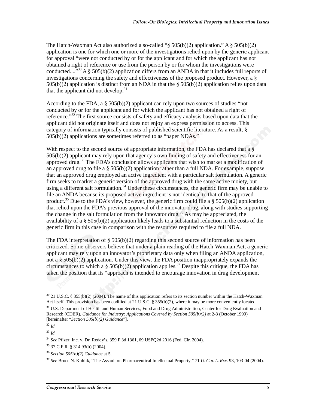The Hatch-Waxman Act also authorized a so-called "§  $505(b)(2)$  application." A §  $505(b)(2)$ application is one for which one or more of the investigations relied upon by the generic applicant for approval "were not conducted by or for the applicant and for which the applicant has not obtained a right of reference or use from the person by or for whom the investigations were conducted....<sup>"30</sup> A § 505(b)(2) application differs from an ANDA in that it includes full reports of investigations concerning the safety and effectiveness of the proposed product. However, a § 505(b)(2) application is distinct from an NDA in that the § 505(b)(2) application relies upon data that the applicant did not develop. $31$ 

According to the FDA, a § 505(b)(2) applicant can rely upon two sources of studies "not conducted by or for the applicant and for which the applicant has not obtained a right of reference."<sup>32</sup> The first source consists of safety and efficacy analysis based upon data that the applicant did not originate itself and does not enjoy an express permission to access. This category of information typically consists of published scientific literature. As a result, § 505(b)(2) applications are sometimes referred to as "paper NDAs."

With respect to the second source of appropriate information, the FDA has declared that a § 505(b)(2) applicant may rely upon that agency's own finding of safety and effectiveness for an approved drug.<sup>33</sup> The FDA's conclusion allows applicants that wish to market a modification of an approved drug to file a § 505(b)(2) application rather than a full NDA. For example, suppose that an approved drug employed an active ingredient with a particular salt formulation. A generic firm seeks to market a generic version of the approved drug with the same active moiety, but using a different salt formulation.<sup>34</sup> Under these circumstances, the generic firm may be unable to file an ANDA because its proposed active ingredient is not identical to that of the approved product.<sup>35</sup> Due to the FDA's view, however, the generic firm could file a  $\S$  505(b)(2) application that relied upon the FDA's previous approval of the innovator drug, along with studies supporting the change in the salt formulation from the innovator drug.<sup>36</sup> As may be appreciated, the availability of a § 505(b)(2) application likely leads to a substantial reduction in the costs of the generic firm in this case in comparison with the resources required to file a full NDA.

The FDA interpretation of  $\S 505(b)(2)$  regarding this second source of information has been criticized. Some observers believe that under a plain reading of the Hatch-Waxman Act, a generic applicant may rely upon an innovator's proprietary data only when filing an ANDA application, not a  $\S 505(b)(2)$  application. Under this view, the FDA position inappropriately expands the circumstances to which a § 505(b)(2) application applies.<sup>37</sup> Despite this critique, the FDA has taken the position that its "approach is intended to encourage innovation in drug development

 $30$  21 U.S.C. § 355(b)(2) (2004). The name of this application refers to its section number within the Hatch-Waxman Act itself. This provision has been codified at 21 U.S.C. § 355(b)(2), where it may be more conveniently located.

<sup>&</sup>lt;sup>31</sup> U.S. Department of Health and Human Services, Food and Drug Administration, Center for Drug Evaluation and Research (CDER), *Guidance for Industry: Applications Covered by Section 505(b)(2)* at 2-3 (October 1999) [hereinafter "*Section 505(b)(2) Guidance*"].

<sup>32</sup> *Id.*

<sup>33</sup> *Id.*

<sup>34</sup> *See* Pfizer, Inc. v. Dr. Reddy's, 359 F.3d 1361, 69 USPQ2d 2016 (Fed. Cir. 2004).

<sup>35 37</sup> C.F.R. § 314.93(b) (2004).

<sup>36</sup> *Section 505(b)(2) Guidance* at 5.

<sup>37</sup> *See* Bruce N. Kuhlik, "The Assault on Pharmaceutical Intellectual Property," 71 *U. CHI. L. REV.* 93, 103-04 (2004).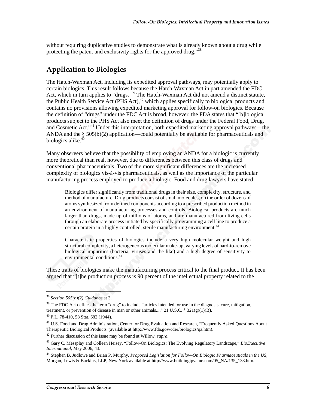without requiring duplicative studies to demonstrate what is already known about a drug while protecting the patent and exclusivity rights for the approved drug."<sup>38</sup>

### **Application to Biologics**

The Hatch-Waxman Act, including its expedited approval pathways, may potentially apply to certain biologics. This result follows because the Hatch-Waxman Act in part amended the FDC Act, which in turn applies to "drugs."<sup>39</sup> The Hatch-Waxman Act did not amend a distinct statute, the Public Health Service Act (PHS Act),<sup>40</sup> which applies specifically to biological products and contains no provisions allowing expedited marketing approval for follow-on biologics. Because the definition of "drugs" under the FDC Act is broad, however, the FDA states that "[b]iological products subject to the PHS Act also meet the definition of drugs under the Federal Food, Drug, and Cosmetic Act."<sup>41</sup> Under this interpretation, both expedited marketing approval pathways—the ANDA and the § 505(b)(2) application—could potentially be available for pharmaceuticals and biologics alike. $42$ 

Many observers believe that the possibility of employing an ANDA for a biologic is currently more theoretical than real, however, due to differences between this class of drugs and conventional pharmaceuticals. Two of the more significant differences are the increased complexity of biologics vis-à-vis pharmaceuticals, as well as the importance of the particular manufacturing process employed to produce a biologic. Food and drug lawyers have stated:

Biologics differ significantly from traditional drugs in their size, complexity, structure, and method of manufacture. Drug products consist of small molecules, on the order of dozens of atoms synthesized from defined components according to a prescribed production method in an environment of manufacturing processes and controls. Biological products are much larger than drugs, made up of millions of atoms, and are manufactured from living cells through an elaborate process initiated by specifically programming a cell line to produce a certain protein in a highly controlled, sterile manufacturing environment.<sup>43</sup>

Characteristic properties of biologics include a very high molecular weight and high structural complexity, a heterogeneous molecular make-up, varying levels of hard-to-remove biological impurities (bacteria, viruses and the like) and a high degree of sensitivity to environmental conditions.<sup>44</sup>

These traits of biologics make the manufacturing process critical to the final product. It has been argued that "[t]he production process is 90 percent of the intellectual property related to the

<sup>38</sup> *Section 505(b)(2) Guidance* at 3.

 $39$  The FDC Act defines the term "drug" to include "articles intended for use in the diagnosis, cure, mitigation, treatment, or prevention of disease in man or other animals...." 21 U.S.C. §  $321(g)(1)(B)$ .

<sup>40</sup> P.L. 78-410, 58 Stat. 682 (1944).

 $41$  U.S. Food and Drug Administration, Center for Drug Evaluation and Research, "Frequently Asked Questions About Therapeutic Biological Products"(available at http://www.fda.gov/cder/biologics/qa.htm).

<sup>42</sup> Further discussion of this issue may be found at Willow, *supra.*

<sup>43</sup> Gary C. Messplay and Colleen Heisey, "Follow-On Biologics: The Evolving Regulatory Landscape," *BioExecutive International*, May 2006, 43.

<sup>44</sup> Stephen B. Judlowe and Brian P. Murphy, *Proposed Legislation for Follow-On Biologic Pharmaceuticals in the US*, Morgan, Lewis & Backius, LLP, New York available at http://www.buildingipvalue.com/05\_NA/135\_138.htm.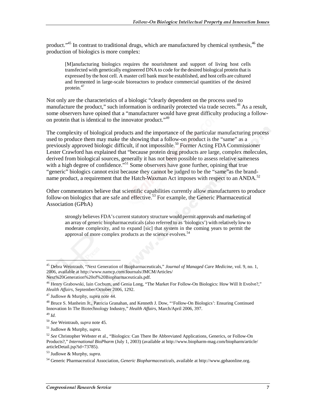product."<sup>45</sup> In contrast to traditional drugs, which are manufactured by chemical synthesis,<sup>46</sup> the production of biologics is more complex:

[M]anufacturing biologics requires the nourishment and support of living host cells transfected with genetically engineered DNA to code for the desired biological protein that is expressed by the host cell. A master cell bank must be established, and host cells are cultured and fermented in large-scale bioreactors to produce commercial quantities of the desired protein.<sup>47</sup>

Not only are the characteristics of a biologic "clearly dependent on the process used to manufacture the product," such information is ordinarily protected via trade secrets.<sup>48</sup> As a result, some observers have opined that a "manufacturer would have great difficulty producing a followon protein that is identical to the innovator product."<sup>49</sup>

The complexity of biological products and the importance of the particular manufacturing process used to produce them may make the showing that a follow-on product is the "same" as a previously approved biologic difficult, if not impossible.<sup>50</sup> Former Acting FDA Commissioner Lester Crawford has explained that "because protein drug products are large, complex molecules, derived from biological sources, generally it has not been possible to assess relative sameness with a high degree of confidence."<sup>51</sup> Some observers have gone further, opining that true "generic" biologics cannot exist because they cannot be judged to be the "same"as the brandname product, a requirement that the Hatch-Waxman Act imposes with respect to an ANDA.<sup>52</sup>

Other commentators believe that scientific capabilities currently allow manufacturers to produce follow-on biologics that are safe and effective.<sup>53</sup> For example, the Generic Pharmaceutical Association (GPhA)

strongly believes FDA's current statutory structure would permit approvals and marketing of an array of generic biopharmaceuticals (also referred to as 'biologics') with relatively low to moderate complexity, and to expand [sic] that system in the coming years to permit the approval of more complex products as the science evolves.<sup>54</sup>

<sup>45</sup> Debra Weintraub, "Next Generation of Biopharmaceuticals," *Journal of Managed Care Medicine*, vol. 9, no. 1, 2006, available at http://www.namcp.com/Journals/JMCM/Articles/ Next%20Generation%20of%20Biopharmaceuticals.pdf.

<sup>&</sup>lt;sup>46</sup> Henry Grabowski, Iain Cocburn, and Genia Long, "The Market For Follow-On Biologics: How Will It Evolve?," *Health Affairs,* September/October 2006, 1292.

<sup>47</sup> Judlowe & Murphy, *supra* note 44.

<sup>48</sup> Bruce S. Manheim Jr., Patricia Granahan, and Kenneth J. Dow, "'Follow-On Biologics': Ensuring Continued Innovation In The Biotechnology Industry," *Health Affairs*, March/April 2006, 397.

<sup>49</sup> *Id*.

<sup>50</sup> *See* Weintraub, *supra* note 45.

<sup>51</sup> Judlowe & Murphy, *supra*.

<sup>52</sup> *See* Christopher Webster et al., "Biologics: Can There Be Abbreviated Applications, Generics, or Follow-On Products?," *International BioPharm* (July 1, 2003) (available at http://www.biopharm-mag.com/biopharm/article/ articleDetail.jsp?id=73785).

<sup>53</sup> Judlowe & Murphy, *supra*.

<sup>54</sup> Generic Pharmaceutical Association, *Generic Biopharmaceuticals*, available at http://www.gphaonline.org.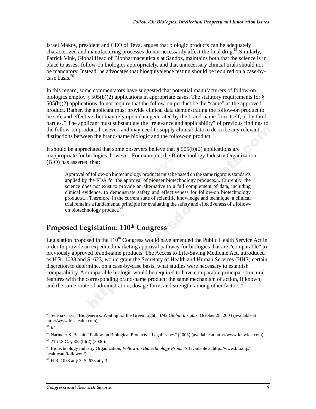Israel Makov, president and CEO of Teva, argues that biologic products can be adequately characterized and manufacturing processes do not necessarily affect the final drug.<sup>55</sup> Similarly, Patrick Vink, Global Head of Biopharmaceuticals at Sandoz, maintains both that the science is in place to assess follow-on biologics appropriately, and that unnecessary clinical trials should not be mandatory. Instead, he advocates that bioequivalence testing should be required on a case-bycase basis.<sup>56</sup>

In this regard, some commentators have suggested that potential manufacturers of follow-on biologics employ § 505(b)(2) applications in appropriate cases. The statutory requirements for § 505(b)(2) applications do not require that the follow-on product be the "same" as the approved product. Rather, the applicant must provide clinical data demonstrating the follow-on product to be safe and effective, but may rely upon data generated by the brand-name firm itself, or by third parties.<sup>57</sup> The applicant must substantiate the "relevance and applicability" of previous findings to the follow-on product, however, and may need to supply clinical data to describe any relevant distinctions between the brand-name biologic and the follow-on product.<sup>58</sup>

It should be appreciated that some observers believe that  $\S 505(b)(2)$  applications are inappropriate for biologics, however. For example, the Biotechnology Industry Organization (BIO) has asserted that:

Approval of follow-on biotechnology products must be based on the same rigorous standards applied by the FDA for the approval of pioneer biotechnology products.... Currently, the science does not exist to provide an alternative to a full complement of data, including clinical evidence, to demonstrate safety and effectiveness for follow-on biotechnology products.... Therefore, in the current state of scientific knowledge and technique, a clinical trial remains a fundamental principle for evaluating the safety and effectiveness of a followon biotechnology product.<sup>5</sup>

### Proposed Legislation: 110th Congress

Legislation proposed in the  $110<sup>th</sup>$  Congress would have amended the Public Health Service Act in order to provide an expedited marketing approval pathway for biologics that are "comparable" to previously approved brand-name products. The Access to Life-Saving Medicine Act, introduced as H.R. 1038 and S. 623, would grant the Secretary of Health and Human Services (HHS) certain discretion to determine, on a case-by-case basis, what studies were necessary to establish comparability. A comparable biologic would be required to have comparable principal structural features with the corresponding brand-name product; the same mechanism of action, if known; and the same route of administration, dosage form, and strength, among other factors. $60$ 

<sup>55</sup> Selena Class, "Biogenerics: Waiting for the Green Light," *IMS Global Insights*, October 28, 2004 (available at http://www.imshealth.com).

<sup>56</sup> *Id.*

<sup>57</sup> Narinder S. Banait, "Follow-on Biological Products—Legal Issues" (2005) (available at http://www.fenwick.com). 58 21 U.S.C. § 355(b)(2) (2006).

<sup>59</sup> Biotechnology Industry Organization, *Follow-on Biotechnology Products* (available at http://www.bio.org/ healthcare/followon/).

 $60$  H.R. 1038 at § 3; S. 623 at § 3.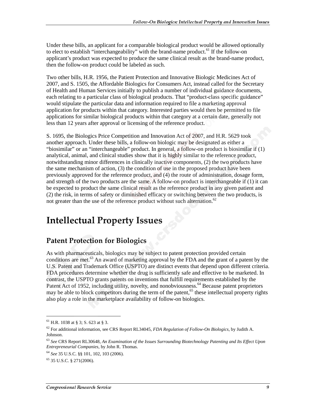Under these bills, an applicant for a comparable biological product would be allowed optionally to elect to establish "interchangeability" with the brand-name product.<sup>61</sup> If the follow-on applicant's product was expected to produce the same clinical result as the brand-name product, then the follow-on product could be labeled as such.

Two other bills, H.R. 1956, the Patient Protection and Innovative Biologic Medicines Act of 2007, and S. 1505, the Affordable Biologics for Consumers Act, instead called for the Secretary of Health and Human Services initially to publish a number of individual guidance documents, each relating to a particular class of biological products. That "product-class specific guidance" would stipulate the particular data and information required to file a marketing approval application for products within that category. Interested parties would then be permitted to file applications for similar biological products within that category at a certain date, generally not less than 12 years after approval or licensing of the reference product.

S. 1695, the Biologics Price Competition and Innovation Act of 2007, and H.R. 5629 took another approach. Under these bills, a follow-on biologic may be designated as either a "biosimilar" or an "interchangeable" product. In general, a follow-on product is biosimilar if (1) analytical, animal, and clinical studies show that it is highly similar to the reference product, notwithstanding minor differences in clinically inactive components, (2) the two products have the same mechanism of action, (3) the condition of use in the proposed product have been previously approved for the reference product, and (4) the route of administration, dosage form, and strength of the two products are the same. A follow-on product is interchangeable if (1) it can be expected to product the same clinical result as the reference product in any given patient and (2) the risk, in terms of safety or diminished efficacy or switching between the two products, is not greater than the use of the reference product without such alternation.<sup>62</sup>

# **Intellectual Property Issues**

### **Patent Protection for Biologics**

As with pharmaceuticals, biologics may be subject to patent protection provided certain conditions are met.<sup>63</sup> An award of marketing approval by the FDA and the grant of a patent by the U.S. Patent and Trademark Office (USPTO) are distinct events that depend upon different criteria. FDA procedures determine whether the drug is sufficiently safe and effective to be marketed. In contrast, the USPTO grants patents on inventions that fulfill requirements established by the Patent Act of 1952, including utility, novelty, and nonobviousness.<sup>64</sup> Because patent proprietors may be able to block competitors during the term of the patent,<sup>65</sup> these intellectual property rights also play a role in the marketplace availability of follow-on biologics.

 $61$  H.R. 1038 at § 3; S. 623 at § 3.

<sup>62</sup> For additional information, see CRS Report RL34045, *FDA Regulation of Follow-On Biologics*, by Judith A. Johnson.

<sup>63</sup> *See* CRS Report RL30648, *An Examination of the Issues Surrounding Biotechnology Patenting and Its Effect Upon Entrepreneurial Companies*, by John R. Thomas.

<sup>64</sup> *See* 35 U.S.C. §§ 101, 102, 103 (2006).

 $65$  35 U.S.C. § 271(2006).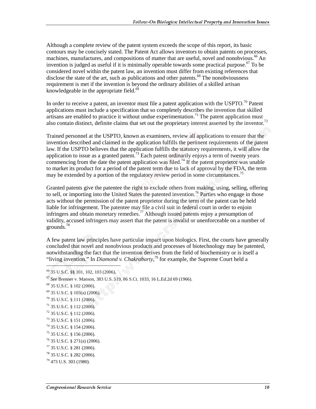Although a complete review of the patent system exceeds the scope of this report, its basic contours may be concisely stated. The Patent Act allows inventors to obtain patents on processes, machines, manufactures, and compositions of matter that are useful, novel and nonobvious.<sup>66</sup> An invention is judged as useful if it is minimally operable towards some practical purpose.<sup>67</sup> To be considered novel within the patent law, an invention must differ from existing references that disclose the state of the art, such as publications and other patents. $^{68}$  The nonobviousness requirement is met if the invention is beyond the ordinary abilities of a skilled artisan knowledgeable in the appropriate field. $69$ 

In order to receive a patent, an inventor must file a patent application with the USPTO.<sup>70</sup> Patent applications must include a specification that so completely describes the invention that skilled artisans are enabled to practice it without undue experimentation.<sup>71</sup> The patent application must also contain distinct, definite claims that set out the proprietary interest asserted by the inventor.<sup>72</sup>

Trained personnel at the USPTO, known as examiners, review all applications to ensure that the invention described and claimed in the application fulfills the pertinent requirements of the patent law. If the USPTO believes that the application fulfills the statutory requirements, it will allow the application to issue as a granted patent.<sup>73</sup> Each patent ordinarily enjoys a term of twenty years commencing from the date the patent application was filed.<sup>74</sup> If the patent proprietor was unable to market its product for a period of the patent term due to lack of approval by the FDA, the term may be extended by a portion of the regulatory review period in some circumstances.<sup>75</sup>

Granted patents give the patentee the right to exclude others from making, using, selling, offering to sell, or importing into the United States the patented invention.<sup>76</sup> Parties who engage in those acts without the permission of the patent proprietor during the term of the patent can be held liable for infringement. The patentee may file a civil suit in federal court in order to enjoin infringers and obtain monetary remedies.<sup>77</sup> Although issued patents enjoy a presumption of validity, accused infringers may assert that the patent is invalid or unenforceable on a number of grounds.<sup>78</sup>

A few patent law principles have particular impact upon biologics. First, the courts have generally concluded that novel and nonobvious products and processes of biotechnology may be patented, notwithstanding the fact that the invention derives from the field of biochemistry or is itself a "living invention." In *Diamond v. Chakrabarty*,<sup>79</sup> for example, the Supreme Court held a

<sup>66 35</sup> U.S.C. §§ 101, 102, 103 (2006).

<sup>67</sup> *See* Brenner v. Manson, 383 U.S. 519, 86 S.Ct. 1033, 16 L.Ed.2d 69 (1966).

<sup>68 35</sup> U.S.C. § 102 (2006).

<sup>69 35</sup> U.S.C. § 103(a) (2006).

<sup>70 35</sup> U.S.C. § 111 (2006).

<sup>71 35</sup> U.S.C. § 112 (2006).

 $72$  35 U.S.C. § 112 (2006).

<sup>73 35</sup> U.S.C. § 151 (2006).

<sup>74 35</sup> U.S.C. § 154 (2006).

<sup>75 35</sup> U.S.C. § 156 (2006).

<sup>76 35</sup> U.S.C. § 271(a) (2006).

 $^{77}$  35 U.S.C. § 281 (2006).

<sup>78 35</sup> U.S.C. § 282 (2006).

<sup>79 473</sup> U.S. 303 (1980).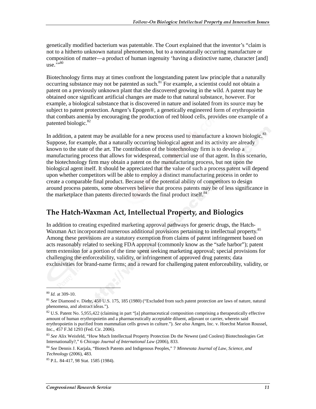genetically modified bacterium was patentable. The Court explained that the inventor's "claim is not to a hitherto unknown natural phenomenon, but to a nonnaturally occurring manufacture or composition of matter—a product of human ingenuity 'having a distinctive name, character [and] use. $\cdots$ <sup>5,,80</sup>

Biotechnology firms may at times confront the longstanding patent law principle that a naturally occurring substance may not be patented as such.<sup>81</sup> For example, a scientist could not obtain a patent on a previously unknown plant that she discovered growing in the wild. A patent may be obtained once significant artificial changes are made to that natural substance, however. For example, a biological substance that is discovered in nature and isolated from its source may be subject to patent protection. Amgen's Epogen®, a genetically engineered form of erythropoietin that combats anemia by encouraging the production of red blood cells, provides one example of a patented biologic.<sup>82</sup>

In addition, a patent may be available for a new process used to manufacture a known biologic.<sup>83</sup> Suppose, for example, that a naturally occurring biological agent and its activity are already known to the state of the art. The contribution of the biotechnology firm is to develop a manufacturing process that allows for widespread, commercial use of that agent. In this scenario, the biotechnology firm may obtain a patent on the manufacturing process, but not upon the biological agent itself. It should be appreciated that the value of such a process patent will depend upon whether competitors will be able to employ a distinct manufacturing process in order to create a comparable final product. Because of the potential ability of competitors to design around process patents, some observers believe that process patents may be of less significance in the marketplace than patents directed towards the final product itself.<sup>84</sup>

#### The Hatch-Waxman Act, Intellectual Property, and Biologics

In addition to creating expedited marketing approval pathways for generic drugs, the Hatch-Waxman Act incorporated numerous additional provisions pertaining to intellectual property.<sup>85</sup> Among these provisions are a statutory exemption from claims of patent infringement based on acts reasonably related to seeking FDA approval (commonly know as the "safe harbor"); patent term extension for a portion of the time spent seeking marketing approval; special provisions for challenging the enforceability, validity, or infringement of approved drug patents; data exclusivities for brand-name firms; and a reward for challenging patent enforceability, validity, or

l

<sup>80</sup> *Id.* at 309-10.

<sup>81</sup> *See* Diamond v. Diehr, 450 U.S. 175, 185 (1980) ("Excluded from such patent protection are laws of nature, natural phenomena, and abstract ideas.").

<sup>&</sup>lt;sup>82</sup> U.S. Patent No. 5,955,422 (claiming in part "[a] pharmaceutical composition comprising a therapeutically effective amount of human erythropoietin and a pharmaceutically acceptable diluent, adjuvant or carrier, wherein said erythropoietin is purified from mammalian cells grown in culture."). *See also* Amgen, Inc. v. Hoechst Marion Roussel, Inc., 457 F.3d 1293 (Fed. Cir. 2006).

<sup>83</sup> *See* Alix Weisfeld, "How Much Intellectual Property Protection Do the Newest (and Coolest) Biotechnologies Get Internationally?," 6 *Chicago Journal of International Law* (2006), 833.

<sup>84</sup> *See* Dennis J. Karjala, "Biotech Patents and Indigenous Peoples," 7 *Minnesota Journal of Law, Science, and Technology* (2006), 483.

<sup>85</sup> P.L. 84-417, 98 Stat. 1585 (1984).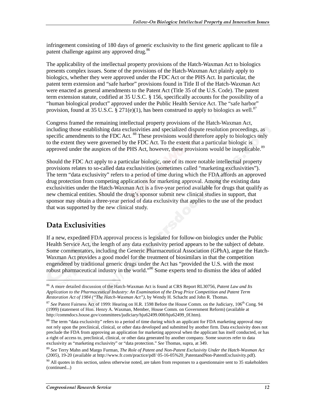infringement consisting of 180 days of generic exclusivity to the first generic applicant to file a patent challenge against any approved drug.<sup>86</sup>

The applicability of the intellectual property provisions of the Hatch-Waxman Act to biologics presents complex issues. Some of the provisions of the Hatch-Waxman Act plainly apply to biologics, whether they were approved under the FDC Act or the PHS Act. In particular, the patent term extension and "safe harbor" provisions found in Title II of the Hatch-Waxman Act were enacted as general amendments to the Patent Act (Title 35 of the U.S. Code). The patent term extension statute, codified at 35 U.S.C. § 156, specifically accounts for the possibility of a "human biological product" approved under the Public Health Service Act. The "safe harbor" provision, found at 35 U.S.C. § 271(e)(1), has been construed to apply to biologics as well.<sup>87</sup>

Congress framed the remaining intellectual property provisions of the Hatch-Waxman Act, including those establishing data exclusivities and specialized dispute resolution proceedings, as specific amendments to the FDC Act. <sup>88</sup> These provisions would therefore apply to biologics only to the extent they were governed by the FDC Act. To the extent that a particular biologic is approved under the auspices of the PHS Act, however, these provisions would be inapplicable.<sup>89</sup>

Should the FDC Act apply to a particular biologic, one of its more notable intellectual property provisions relates to so-called data exclusivities (sometimes called "marketing exclusivities"). The term "data exclusivity" refers to a period of time during which the FDA affords an approved drug protection from competing applications for marketing approval. Among the existing data exclusivities under the Hatch-Waxman Act is a five-year period available for drugs that qualify as new chemical entities. Should the drug's sponsor submit new clinical studies in support, that sponsor may obtain a three-year period of data exclusivity that applies to the use of the product that was supported by the new clinical study.

### Data Exclusivities

l

If a new, expedited FDA approval process is legislated for follow-on biologics under the Public Health Service Act, the length of any data exclusivity period appears to be the subject of debate. Some commentators, including the Generic Pharmaceutical Association (GPhA), argue the Hatch-Waxman Act provides a good model for the treatment of biosimilars in that the competition engendered by traditional generic drugs under the Act has "provided the U.S. with the most robust pharmaceutical industry in the world."90 Some experts tend to dismiss the idea of added

<sup>86</sup> A more detailed discussion of the Hatch-Waxman Act is found at CRS Report RL30756, *Patent Law and Its Application to the Pharmaceutical Industry: An Examination of the Drug Price Competition and Patent Term Restoration Act of 1984 ("The Hatch-Waxman Act")*, by Wendy H. Schacht and John R. Thomas.

<sup>&</sup>lt;sup>87</sup> See Patent Fairness Act of 1999: Hearing on H.R. 1598 Before the House Comm. on the Judiciary, 106<sup>th</sup> Cong. 94 (1999) (statement of Hon. Henry A. Waxman, Member, House Comm. on Government Reform) (available at http://commdocs.house.gov/committees/judiciary/hju62499.000/hju62499\_0f.htm).

<sup>&</sup>lt;sup>88</sup> The term "data exclusivity" refers to a period of time during which an applicant for FDA marketing approval may not rely upon the preclinical, clinical, or other data developed and submitted by another firm. Data exclusivity does not preclude the FDA from approving an application for marketing approval when the applicant has itself conducted, or has a right of access to, preclinical, clinical, or other data generated by another company. Some sources refer to data exclusivity as "marketing exclusivity" or "data protection." *See* Thomas, supra, at 349.

<sup>89</sup> *See* Terry Mahn and Margo Furman, *The Role of Patent and Non-Patent Exclusivity Under the Hatch-Waxman Act* (2005), 19-20 (available at http://www.fr.com/practice/pdf/ 05-16-05%20\_PatentandNon-PatentExclusivity.pdf).

 $90$  All quotes in this section, unless otherwise noted, are taken from responses to a questionnaire sent to 35 stakeholders (continued...)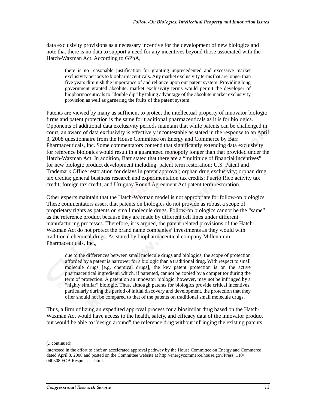data exclusivity provisions as a necessary incentive for the development of new biologics and note that there is no data to support a need for any incentives beyond those associated with the Hatch-Waxman Act. According to GPhA,

there is no reasonable justification for granting unprecedented and excessive market exclusivity periods to biopharmaceuticals. Any market exclusivity terms that are longer than five years diminish the importance of and reliance upon our patent system. Providing long government granted absolute, market exclusivity terms would permit the developer of biopharmaceuticals to "double dip" by taking advantage of the absolute market exclusivity provision as well as garnering the fruits of the patent system.

Patents are viewed by many as sufficient to protect the intellectual property of innovator biologic firms and patent protection is the same for traditional pharmaceuticals as it is for biologics. Opponents of additional data exclusivity periods maintain that while patents can be challenged in court, an award of data exclusivity is effectively incontestable as stated in the response to an April 3, 2008 questionnaire from the House Committee on Energy and Commerce by Barr Pharmaceuticals, Inc. Some commentators contend that significantly extending data exclusivity for reference biologics would result in a guaranteed monopoly longer than that provided under the Hatch-Waxman Act. In addition, Barr stated that there are a "multitude of financial incentives" for new biologic product development including: patent term restoration; U.S. Patent and Trademark Office restoration for delays in patent approval; orphan drug exclusivity; orphan drug tax credits; general business research and experimentation tax credits; Puerto Rico activity tax credit; foreign tax credit; and Uruguay Round Agreement Act patent term restoration.

Other experts maintain that the Hatch-Waxman model is not appropriate for follow-on biologics. These commentators assert that patents on biologics do not provide as robust a scope of proprietary rights as patents on small molecule drugs. Follow-on biologics cannot be the "same" as the reference product because they are made by different cell lines under different manufacturing processes. Therefore, it is argued, the patent-related provisions of the Hatch-Waxman Act do not protect the brand name companies' investments as they would with traditional chemical drugs. As stated by biopharmaceutical company Millennium Pharmaceuticals, Inc.,

due to the differences between small molecule drugs and biologics, the scope of protection afforded by a patent is narrower for a biologic than a traditional drug. With respect to small molecule drugs [e.g. chemical drugs], the key patent protection is on the active pharmaceutical ingredient, which, if patented, cannot be copied by a competitor during the term of protection. A patent on an innovator biologic, however, may not be infringed by a "highly similar" biologic. Thus, although patents for biologics provide critical incentives, particularly during the period of initial discovery and development, the protection that they offer should not be compared to that of the patents on traditional small molecule drugs.

Thus, a firm utilizing an expedited approval process for a biosimilar drug based on the Hatch-Waxman Act would have access to the health, safety, and efficacy data of the innovator product but would be able to "design around" the reference drug without infringing the existing patents.

<sup>(...</sup>continued)

interested in the effort to craft an accelerated approval pathway by the House Committee on Energy and Commerce dated April 3, 2008 and posted on the Committee website at http://energycommerce.house.gov/Press\_110/ 040308.FOB.Responses.shtml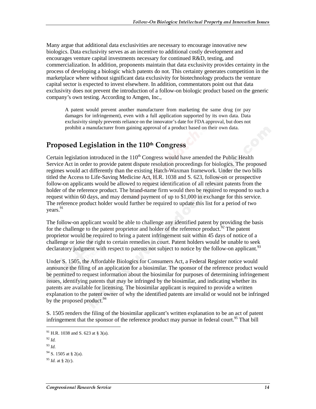Many argue that additional data exclusivities are necessary to encourage innovative new biologics. Data exclusivity serves as an incentive to additional costly development and encourages venture capital investments necessary for continued R&D, testing, and commercialization. In addition, proponents maintain that data exclusivity provides certainty in the process of developing a biologic which patents do not. This certainty generates competition in the marketplace where without significant data exclusivity for biotechnology products the venture capital sector is expected to invest elsewhere. In addition, commentators point out that data exclusivity does not prevent the introduction of a follow-on biologic product based on the generic company's own testing. According to Amgen, Inc.,

A patent would prevent another manufacturer from marketing the same drug (or pay damages for infringement), even with a full application supported by its own data. Data exclusivity simply prevents reliance on the innovator's date for FDA approval, but does not prohibit a manufacturer from gaining approval of a product based on their own data.

#### Proposed Legislation in the 110th Congress

Certain legislation introduced in the  $110<sup>th</sup>$  Congress would have amended the Public Health Service Act in order to provide patent dispute resolution proceedings for biologics. The proposed regimes would act differently than the existing Hatch-Waxman framework. Under the two bills titled the Access to Life-Saving Medicine Act, H.R. 1038 and S. 623, follow-on or prospective follow-on applicants would be allowed to request identification of all relevant patents from the holder of the reference product. The brand-name firm would then be required to respond to such a request within 60 days, and may demand payment of up to \$1,000 in exchange for this service. The reference product holder would further be required to update this list for a period of two years.<sup>91</sup>

The follow-on applicant would be able to challenge any identified patent by providing the basis for the challenge to the patent proprietor and holder of the reference product.<sup>92</sup> The patent proprietor would be required to bring a patent infringement suit within 45 days of notice of a challenge or lose the right to certain remedies in court. Patent holders would be unable to seek declaratory judgment with respect to patents not subject to notice by the follow-on applicant.<sup>93</sup>

Under S. 1505, the Affordable Biologics for Consumers Act, a Federal Register notice would announce the filing of an application for a biosimilar. The sponsor of the reference product would be permitted to request information about the biosimilar for purposes of determining infringement issues, identifying patents that may be infringed by the biosimilar, and indicating whether its patents are available for licensing. The biosimilar applicant is required to provide a written explanation to the patent owner of why the identified patents are invalid or would not be infringed by the proposed product.<sup>94</sup>

S. 1505 renders the filing of the biosimilar applicant's written explanation to be an act of patent infringement that the sponsor of the reference product may pursue in federal court.<sup>95</sup> That bill

<sup>91</sup> H.R. 1038 and S. 623 at § 3(a).

<sup>92</sup> *Id.*

<sup>93</sup> *Id.*

 $94$  S. 1505 at § 2(a).

 $95$  *Id.* at § 2(c).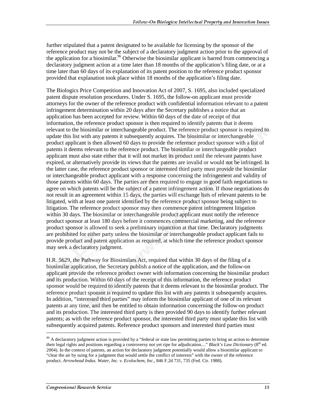further stipulated that a patent designated to be available for licensing by the sponsor of the reference product may not be the subject of a declaratory judgment action prior to the approval of the application for a biosimilar.<sup>96</sup> Otherwise the biosimilar applicant is barred from commencing a declaratory judgment action at a time later than 18 months of the application's filing date, or at a time later than 60 days of its explanation of its patent position to the reference product sponsor provided that explanation took place within 18 months of the application's filing date.

The Biologics Price Competition and Innovation Act of 2007, S. 1695, also included specialized patent dispute resolution procedures. Under S. 1695, the follow-on applicant must provide attorneys for the owner of the reference product with confidential information relevant to a patent infringement determination within 20 days after the Secretary publishes a notice that an application has been accepted for review. Within 60 days of the date of receipt of that information, the reference product sponsor is then required to identify patents that it deems relevant to the biosimilar or interchangeable product. The reference product sponsor is required to update this list with any patents it subsequently acquires. The biosimilar or interchangeable product applicant is then allowed 60 days to provide the reference product sponsor with a list of patents it deems relevant to the reference product. The biosimilar or interchangeable product applicant must also state either that it will not market its product until the relevant patents have expired, or alternatively provide its views that the patents are invalid or would not be infringed. In the latter case, the reference product sponsor or interested third party must provide the biosimilar or interchangeable product applicant with a response concerning the infringement and validity of those patents within 60 days. The parties are then required to engage in good faith negotiations to agree on which patents will be the subject of a patent infringement action. If those negotiations do not result in an agreement within 15 days, the parties will exchange lists of relevant patents to be litigated, with at least one patent identified by the reference product sponsor being subject to litigation. The reference product sponsor may then commence patent infringement litigation within 30 days. The biosimilar or interchangeable product applicant must notify the reference product sponsor at least 180 days before it commences commercial marketing, and the reference product sponsor is allowed to seek a preliminary injunction at that time. Declaratory judgments are prohibited for either party unless the biosimilar or interchangeable product applicant fails to provide product and patent application as required, at which time the reference product sponsor may seek a declaratory judgment.

H.R. 5629, the Pathway for Biosimilars Act, required that within 30 days of the filing of a biosimilar application, the Secretary publish a notice of the application, and the follow-on applicant provide the reference product owner with information concerning the biosimilar product and its production. Within 60 days of the receipt of this information, the reference product sponsor would be required to identify patents that it deems relevant to the biosimilar product. The reference product sponsor is required to update this list with any patents it subsequently acquires. In addition, "interested third parties" may inform the biosimilar applicant of one of its relevant patents at any time, and then be entitled to obtain information concerning the follow-on product and its production. The interested third party is then provided 90 days to identify further relevant patents; as with the reference product sponsor, the interested third party must update this list with subsequently acquired patents. Reference product sponsors and interested third parties must

<sup>&</sup>lt;sup>96</sup> A declaratory judgment action is provided by a "federal or state law permitting parties to bring an action to determine their legal rights and positions regarding a controversy not yet ripe for adjudication...." *Black's Law Dictionary* (8th ed. 2004). In the context of patents, an action for declaratory judgment potentially would allow a biosimilar applicant to "clear the air by suing for a judgment that would settle the conflict of interests" with the owner of the reference product. *Arrowhead Indus. Water, Inc. v. Ecolochem, Inc.*, 846 F.2d 731, 735 (Fed. Cir. 1988).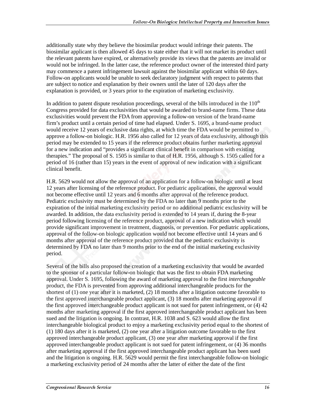additionally state why they believe the biosimilar product would infringe their patents. The biosimilar applicant is then allowed 45 days to state either that it will not market its product until the relevant patents have expired, or alternatively provide its views that the patents are invalid or would not be infringed. In the latter case, the reference product owner of the interested third party may commence a patent infringement lawsuit against the biosimilar applicant within 60 days. Follow-on applicants would be unable to seek declaratory judgment with respect to patents that are subject to notice and explanation by their owners until the later of 120 days after the explanation is provided, or 3 years prior to the expiration of marketing exclusivity.

In addition to patent dispute resolution proceedings, several of the bills introduced in the  $110<sup>th</sup>$ Congress provided for data exclusivities that would be awarded to brand-name firms. These data exclusivities would prevent the FDA from approving a follow-on version of the brand-name firm's product until a certain period of time had elapsed. Under S. 1695, a brand-name product would receive 12 years of exclusive data rights, at which time the FDA would be permitted to approve a follow-on biologic. H.R. 1956 also called for 12 years of data exclusivity, although this period may be extended to 15 years if the reference product obtains further marketing approval for a new indication and "provides a significant clinical benefit in comparison with existing therapies." The proposal of S. 1505 is similar to that of H.R. 1956, although S. 1505 called for a period of 16 (rather than 15) years in the event of approval of new indication with a significant clinical benefit.

H.R. 5629 would not allow the approval of an application for a follow-on biologic until at least 12 years after licensing of the reference product. For pediatric applications, the approval would not become effective until 12 years and 6 months after approval of the reference product. Pediatric exclusivity must be determined by the FDA no later than 9 months prior to the expiration of the initial marketing exclusivity period or no additional pediatric exclusivity will be awarded. In addition, the data exclusivity period is extended to 14 years if, during the 8-year period following licensing of the reference product, approval of a new indication which would provide significant improvement in treatment, diagnosis, or prevention. For pediatric applications, approval of the follow-on biologic application would not become effective until 14 years and 6 months after approval of the reference product provided that the pediatric exclusivity is determined by FDA no later than 9 months prior to the end of the initial marketing exclusivity period.

Several of the bills also proposed the creation of a marketing exclusivity that would be awarded to the sponsor of a particular follow-on biologic that was the first to obtain FDA marketing approval. Under S. 1695, following the award of marketing approval to the first *interchangeable* product, the FDA is prevented from approving additional interchangeable products for the shortest of (1) one year after it is marketed, (2) 18 months after a litigation outcome favorable to the first approved interchangeable product applicant, (3) 18 months after marketing approval if the first approved interchangeable product applicant is not sued for patent infringement, or (4) 42 months after marketing approval if the first approved interchangeable product applicant has been sued and the litigation is ongoing. In contrast, H.R. 1038 and S. 623 would allow the first interchangeable biological product to enjoy a marketing exclusivity period equal to the shortest of (1) 180 days after it is marketed, (2) one year after a litigation outcome favorable to the first approved interchangeable product applicant, (3) one year after marketing approval if the first approved interchangeable product applicant is not sued for patent infringement, or (4) 36 months after marketing approval if the first approved interchangeable product applicant has been sued and the litigation is ongoing. H.R. 5629 would permit the first interchangeable follow-on biologic a marketing exclusivity period of 24 months after the latter of either the date of the first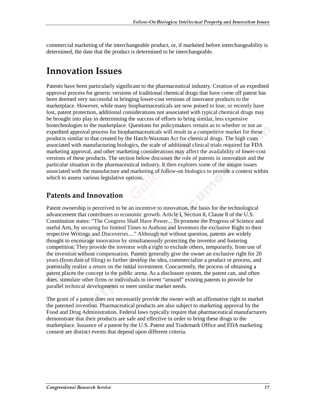commercial marketing of the interchangeable product, or, if marketed before interchangeability is determined, the date that the product is determined to be interchangeable.

# **Innovation Issues**

Patents have been particularly significant to the pharmaceutical industry. Creation of an expedited approval process for generic versions of traditional chemical drugs that have come off patent has been deemed very successful in bringing lower-cost versions of innovator products to the marketplace. However, while many biopharmaceuticals are now poised to lose, or recently have lost, patent protection, additional considerations not associated with typical chemical drugs may be brought into play in determining the success of efforts to bring similar, less expensive biotechnologies to the marketplace. Questions for policymakers remain as to whether or not an expedited approval process for biopharmaceuticals will result in a competitive market for these products similar to that created by the Hatch-Waxman Act for chemical drugs. The high costs associated with manufacturing biologics, the scale of additional clinical trials required for FDA marketing approval, and other marketing considerations may affect the availability of lower-cost versions of these products. The section below discusses the role of patents in innovation and the particular situation in the pharmaceutical industry. It then explores some of the unique issues associated with the manufacture and marketing of follow-on biologics to provide a context within which to assess various legislative options.

### Patents and Innovation

Patent ownership is perceived to be an incentive to innovation, the basis for the technological advancement that contributes to economic growth. Article I, Section 8, Clause 8 of the U.S. Constitution states: "The Congress Shall Have Power... To promote the Progress of Science and useful Arts, by securing for limited Times to Authors and Inventors the exclusive Right to their respective Writings and Discoveries...." Although not without question, patents are widely thought to encourage innovation by simultaneously protecting the inventor and fostering competition. They provide the inventor with a right to exclude others, temporarily, from use of the invention without compensation. Patents generally give the owner an exclusive right for 20 years (from date of filing) to further develop the idea, commercialize a product or process, and potentially realize a return on the initial investment. Concurrently, the process of obtaining a patent places the concept in the public arena. As a disclosure system, the patent can, and often does, stimulate other firms or individuals to invent "around" existing patents to provide for parallel technical developments or meet similar market needs.

The grant of a patent does not necessarily provide the owner with an affirmative right to market the patented invention. Pharmaceutical products are also subject to marketing approval by the Food and Drug Administration. Federal laws typically require that pharmaceutical manufacturers demonstrate that their products are safe and effective in order to bring these drugs to the marketplace. Issuance of a patent by the U.S. Patent and Trademark Office and FDA marketing consent are distinct events that depend upon different criteria.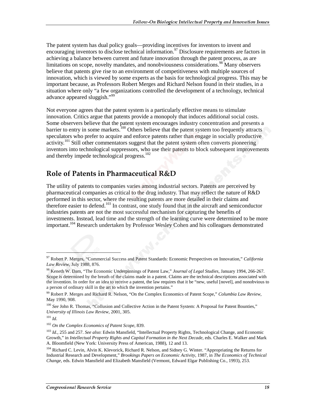The patent system has dual policy goals—providing incentives for inventors to invent and encouraging inventors to disclose technical information.<sup>97</sup> Disclosure requirements are factors in achieving a balance between current and future innovation through the patent process, as are limitations on scope, novelty mandates, and nonobviousness considerations.<sup>98</sup> Many observers believe that patents give rise to an environment of competitiveness with multiple sources of innovation, which is viewed by some experts as the basis for technological progress. This may be important because, as Professors Robert Merges and Richard Nelson found in their studies, in a situation where only "a few organizations controlled the development of a technology, technical advance appeared sluggish."<sup>99</sup>

Not everyone agrees that the patent system is a particularly effective means to stimulate innovation. Critics argue that patents provide a monopoly that induces additional social costs. Some observers believe that the patent system encourages industry concentration and presents a barrier to entry in some markets.<sup>100</sup> Others believe that the patent system too frequently attracts speculators who prefer to acquire and enforce patents rather than engage in socially productive  $\arct{activity}$ <sup>101</sup> Still other commentators suggest that the patent system often converts pioneering inventors into technological suppressors, who use their patents to block subsequent improvements and thereby impede technological progress.<sup>102</sup>

#### Role of Patents in Pharmaceutical R&D

The utility of patents to companies varies among industrial sectors. Patents are perceived by pharmaceutical companies as critical to the drug industry. That may reflect the nature of R&D performed in this sector, where the resulting patents are more detailed in their claims and therefore easier to defend.<sup>103</sup> In contrast, one study found that in the aircraft and semiconductor industries patents are not the most successful mechanism for capturing the benefits of investments. Instead, lead time and the strength of the learning curve were determined to be more important.<sup>104</sup> Research undertaken by Professor Wesley Cohen and his colleagues demonstrated

<sup>97</sup> Robert P. Merges, "Commercial Success and Patent Standards: Economic Perspectives on Innovation," *California Law Review*, July 1988, 876.

<sup>98</sup> Keneth W. Dam, "The Economic Underpinnings of Patent Law," *Journal of Legal Studies*, January 1994, 266-267. Scope is determined by the breath of the claims made in a patent. Claims are the technical descriptions associated with the invention. In order for an idea to receive a patent, the law requires that it be "new, useful [novel], and nonobvious to a person of ordinary skill in the art to which the invention pertains."

<sup>99</sup> Robert P. Merges and Richard R. Nelson, "On the Complex Economics of Patent Scope," *Columbia Law Review*, May 1990, 908.

<sup>&</sup>lt;sup>100</sup> See John R. Thomas, "Collusion and Collective Action in the Patent System: A Proposal for Patent Bounties," *University of Illinois Law Review*, 2001, 305.

<sup>101</sup> *Id.*

<sup>102</sup> *On the Complex Economics of Patent Scope*, 839.

<sup>103</sup> *Id.*, 255 and 257. *See also*: Edwin Mansfield, "Intellectual Property Rights, Technological Change, and Economic Growth," in *Intellectual Property Rights and Capital Formation in the Next Decade*, eds. Charles E. Walker and Mark A. Bloomfield (New York: University Press of American, 1988), 12 and 13.

<sup>&</sup>lt;sup>104</sup> Richard C. Levin, Alvin K. Klevorick, Richard R. Nelson, and Sidney G. Winter. "Appropriating the Returns for Industrial Research and Development," *Brookings Papers on Economic Activity*, 1987, in *The Economics of Technical Change*, eds. Edwin Mansfield and Elizabeth Mansfield (Vermont, Edward Elgar Publishing Co., 1993), 253.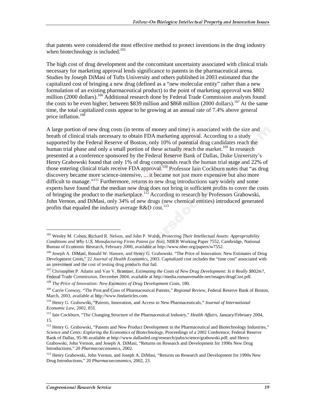that patents were considered the most effective method to protect inventions in the drug industry when biotechnology is included. $105$ 

The high cost of drug development and the concomitant uncertainty associated with clinical trials necessary for marketing approval lends significance to patents in the pharmaceutical arena. Studies by Joseph DiMasi of Tufts University and others published in 2003 estimated that the capitalized cost of bringing a new drug (defined as a "new molecular entity" rather than a new formulation of an existing pharmaceutical product) to the point of marketing approval was \$802 million (2000 dollars).<sup>106</sup> Additional research done by Federal Trade Commission analysts found the costs to be even higher; between \$839 million and \$868 million (2000 dollars).<sup>107</sup> At the same time, the total capitalized costs appear to be growing at an annual rate of 7.4% above general price inflation.<sup>108</sup>

A large portion of new drug costs (in terms of money and time) is associated with the size and breath of clinical trials necessary to obtain FDA marketing approval. According to a study supported by the Federal Reserve of Boston, only 10% of potential drug candidates reach the human trial phase and only a small portion of these actually reach the market.<sup>109</sup> In research presented at a conference sponsored by the Federal Reserve Bank of Dallas, Duke University's Henry Grabowski found that only 1% of drug compounds reach the human trial stage and 22% of those entering clinical trials receive FDA approval.<sup>110</sup> Professor Iain Cockburn notes that "as drug discovery became more science-intensive, ... it became not just more expensive but also more difficult to manage."<sup>111</sup> Furthermore, returns to new drug introductions vary widely and some experts have found that the median new drug does not bring in sufficient profits to cover the costs of bringing the product to the marketplace.<sup>112</sup> According to research by Professors Grabowski, John Vernon, and DiMasi, only 34% of new drugs (new chemical entities) introduced generated profits that equaled the industry average  $R&D \ cost$ .<sup>113</sup>

<sup>105</sup> Wesley M. Cohen, Richard R. Nelson, and John P. Walsh, *Protecting Their Intellectual Assets: Appropriability Conditions and Why U.S. Manufacturing Firms Patent (or Not)*, NBER Working Paper 7552, Cambridge, National Bureau of Economic Research, February 2000, available at http://www.nber.org/papers/w7552.

<sup>&</sup>lt;sup>106</sup> Joseph A. DiMasi, Ronald W. Hansen, and Henry G. Grabowski. "The Price of Innovation: New Estimates of Drug Development Costs," 22 *Journal of Health Economics,* 2003. Capitalized cost includes the "time cost" associated with an investment and the cost of testing drug products that fail.

<sup>107</sup> Christopher P. Adams and Van V. Brantner, *Estimating the Costs of New Drug Development: Is it Really \$802m?*, Federal Trade Commission, December 2004, available at http://media.romanvenable.net/images/drugCost.pdf.

<sup>108</sup> *The Price of Innovation: New Estimates of Drug Development Costs*, 180.

<sup>109</sup> Carrie Conway, "The Pros and Cons of Pharmaceutical Patents," *Regional Review*, Federal Reserve Bank of Boston, March, 2003, available at http://www.findarticles.com.

<sup>110</sup> Henry G. Grabowski, "Patents, Innovation, and Access to New Pharmaceuticals," *Journal of International Economic Law,* 2002, 851.

<sup>111</sup> Iain Cockburn, "The Changing Structure of the Pharmaceutical Industry," *Health Affairs*, January/February 2004, 15.

<sup>&</sup>lt;sup>112</sup> Henry G. Grabowski, "Patents and New Product Development in the Pharmaceutical and Biotechnology Industries," *Science and Cents: Exploring the Economics of Biotechnology*, Proceedings of a 2002 Conference, Federal Reserve Bank of Dallas, 95-96 available at http://www.dallasfed.org/research/pubs/science/grabowski.pdf; and Henry Grabowski, John Vernon, and Joseph A. DiMasi, "Returns on Research and Development for 1990s New Drug Introductions," 20 *Pharmacoeconomics*, 2002.

<sup>&</sup>lt;sup>113</sup> Henry Grabowski, John Vernon, and Joseph A. DiMasi, "Returns on Research and Development for 1990s New Drug Introductions," 20 *Pharmacoeconomics*, 2002, 23.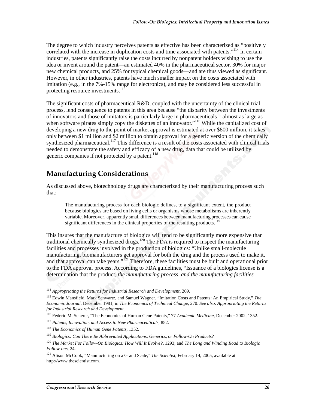The degree to which industry perceives patents as effective has been characterized as "positively correlated with the increase in duplication costs and time associated with patents."<sup>114</sup> In certain industries, patents significantly raise the costs incurred by nonpatent holders wishing to use the idea or invent around the patent—an estimated 40% in the pharmaceutical sector, 30% for major new chemical products, and 25% for typical chemical goods—and are thus viewed as significant. However, in other industries, patents have much smaller impact on the costs associated with imitation (e.g., in the 7%-15% range for electronics), and may be considered less successful in protecting resource investments. $115$ 

The significant costs of pharmaceutical  $R&D$ , coupled with the uncertainty of the clinical trial process, lend consequence to patents in this area because "the disparity between the investments of innovators and those of imitators is particularly large in pharmaceuticals—almost as large as when software pirates simply copy the diskettes of an innovator."<sup>116</sup> While the capitalized cost of developing a new drug to the point of market approval is estimated at over \$800 million, it takes only between \$1 million and \$2 million to obtain approval for a generic version of the chemically synthesized pharmaceutical.<sup>117</sup> This difference is a result of the costs associated with clinical trials needed to demonstrate the safety and efficacy of a new drug, data that could be utilized by generic companies if not protected by a patent.<sup>118</sup>

#### **Manufacturing Considerations**

As discussed above, biotechnology drugs are characterized by their manufacturing process such that:

The manufacturing process for each biologic defines, to a significant extent, the product because biologics are based on living cells or organisms whose metabolisms are inherently variable. Moreover, apparently small differences between manufacturing processes can cause significant differences in the clinical properties of the resulting products.<sup>119</sup>

This insures that the manufacture of biologics will tend to be significantly more expensive than traditional chemically synthesized drugs.<sup>120</sup> The FDA is required to inspect the manufacturing facilities and processes involved in the production of biologics: "Unlike small-molecule manufacturing, biomanufacturers get approval for both the drug and the process used to make it, and that approval can take years."<sup>121</sup> Therefore, these facilities must be built and operational prior to the FDA approval process. According to FDA guidelines, "Issuance of a biologics license is a determination that the product, *the manufacturing process, and the manufacturing facilities*

<sup>114</sup> *Appropriating the Returns for Industrial Research and Development*, 269.

<sup>115</sup> Edwin Mansfield, Mark Schwartz, and Samuel Wagner. "Imitation Costs and Patents: An Empirical Study," *The Economic Journal*, December 1981, in *The Economics of Technical Change*, 270. *See also*: *Appropriating the Returns for Industrial Research and Development*.

<sup>116</sup> Federic M. Scherer, "The Economics of Human Gene Patents," 77 *Academic Medicine*, December 2002, 1352.

<sup>117</sup> *Patents, Innovation, and Access to New Pharmaceuticals*, 852.

<sup>118</sup> *The Economics of Human Gene Patents*, 1352.

<sup>119</sup> *Biologics: Can There Be Abbreviated Applications, Generics, or Follow-On Products*?

<sup>120</sup> *The Market For Follow-On Biologics: How Will It Evolve?*, 1293; and *The Long and Winding Road to Biologic Follow-ons*, 24.

<sup>121</sup> Alison McCook, "Manufacturing on a Grand Scale," *The Scientist*, February 14, 2005, available at http://www.thescientist.com.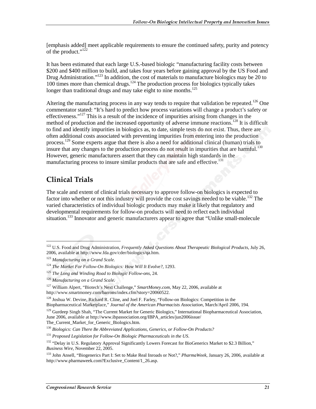[emphasis added] meet applicable requirements to ensure the continued safety, purity and potency of the product." $1^{22}$ 

It has been estimated that each large U.S.-based biologic "manufacturing facility costs between \$200 and \$400 million to build, and takes four years before gaining approval by the US Food and Drug Administration."<sup>123</sup> In addition, the cost of materials to manufacture biologics may be 20 to 100 times more than chemical drugs.<sup>124</sup> The production process for biologics typically takes longer than traditional drugs and may take eight to nine months.<sup>125</sup>

Altering the manufacturing process in any way tends to require that validation be repeated.<sup>126</sup> One commentator stated: "It's hard to predict how process variations will change a product's safety or effectiveness."<sup>127</sup> This is a result of the incidence of impurities arising from changes in the method of production and the increased opportunity of adverse immune reactions.<sup>128</sup> It is difficult to find and identify impurities in biologics as, to date, simple tests do not exist. Thus, there are often additional costs associated with preventing impurities from entering into the production process.<sup>129</sup> Some experts argue that there is also a need for additional clinical (human) trials to insure that any changes to the production process do not result in impurities that are harmful.<sup>130</sup> However, generic manufacturers assert that they can maintain high standards in the manufacturing process to insure similar products that are safe and effective.<sup>131</sup>

# **Clinical Trials**

 $\overline{a}$ 

The scale and extent of clinical trials necessary to approve follow-on biologics is expected to factor into whether or not this industry will provide the cost savings needed to be viable.<sup>132</sup> The varied characteristics of individual biologic products may make it likely that regulatory and developmental requirements for follow-on products will need to reflect each individual situation.<sup>133</sup> Innovator and generic manufacturers appear to agree that "Unlike small-molecule

<sup>122</sup> U.S. Food and Drug Administration, *Frequently Asked Questions About Therapeutic Biological Products*, July 26, 2006, available at http://www.fda.gov/cder/biologics/qa.htm.

<sup>123</sup> *Manufacturing on a Grand Scale.*

<sup>124</sup> *The Market For Follow-On Biologics: How Will It Evolve?,* 1293.

<sup>125</sup> *The Long and Winding Road to Biologic Follow-ons*, 24.

<sup>126</sup> *Manufacturing on a Grand Scale*.

<sup>127</sup> William Alpert, "Biotech's Next Challenge," *SmartMoney.com*, May 22, 2006, available at http://www.smartmoney.com/barrons/index.cfm?story=20060522.

<sup>&</sup>lt;sup>128</sup> Joshua W. Devine, Richard R. Cline, and Joel F. Farley, "Follow-on Biologics: Competition in the Biopharmaceutical Marketplace," *Journal of the American Pharmacists Association*, March/April 2006, 194.

<sup>&</sup>lt;sup>129</sup> Gurdeep Singh Shah, "The Current Market for Generic Biologics," International Biopharmaceutical Association, June 2006, available at http://www.ibpassociation.org/IBPA\_articles/jun2006issue/ The\_Current\_Market\_for\_Generic\_Biologics.htm.

<sup>130</sup> *Biologics: Can There Be Abbreviated Applications, Generics, or Follow-On Products?*

<sup>131</sup> *Proposed Legislation for Follow-On Biologic Pharmaceuticals in the US*.

<sup>&</sup>lt;sup>132</sup> "Delay in U.S. Regulatory Approval Significantly Lowers Forecast for BioGenerics Market to \$2.3 Billion," *Business Wire*, November 22, 2005.

<sup>133</sup> John Ansell, "Biogenerics Part I: Set to Make Real Inroads or Not?," *PharmaWeek*, January 26, 2006, available at http://www.pharmaweek.com?Exclusive\_Content/1\_26.asp.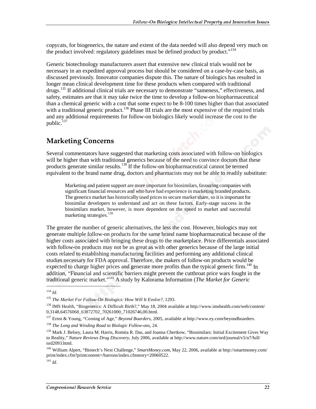copycats, for biogenerics, the nature and extent of the data needed will also depend very much on the product involved: regulatory guidelines must be defined product by product."<sup>134</sup>

Generic biotechnology manufacturers assert that extensive new clinical trials would not be necessary in an expedited approval process but should be considered on a case-by-case basis, as discussed previously. Innovator companies dispute this. The nature of biologics has resulted in longer mean clinical development time for these products when compared with traditional drugs.<sup>135</sup> If additional clinical trials are necessary to demonstrate "sameness," effectiveness, and safety, estimates are that it may take twice the time to develop a follow-on biopharmaceutical than a chemical generic with a cost that some expect to be 8-100 times higher than that associated with a traditional generic product.<sup>136</sup> Phase III trials are the most expensive of the required trials and any additional requirements for follow-on biologics likely would increase the cost to the public. $^{137}$ 

### **Marketing Concerns**

Several commentators have suggested that marketing costs associated with follow-on biologics will be higher than with traditional generics because of the need to convince doctors that these products generate similar results.138 If the follow-on biopharmaceutical cannot be termed equivalent to the brand name drug, doctors and pharmacists may not be able to readily substitute:

Marketing and patient support are more important for biosimilars, favouring companies with significant financial resources and who have had experience in marketing branded products. The generics market has historically used prices to secure market share, so it is important for biosimilar developers to understand and act on these factors. Early-stage success in the biosimilars market, however, is more dependent on the speed to market and successful marketing strategies.<sup>139</sup>

The greater the number of generic alternatives, the less the cost. However, biologics may not generate multiple follow-on products for the same brand name biopharmaceutical because of the higher costs associated with bringing these drugs to the marketplace. Price differentials associated with follow-on products may not be as great as with other generics because of the large initial costs related to establishing manufacturing facilities and performing any additional clinical studies necessary for FDA approval. Therefore, the makers of follow-on products would be expected to charge higher prices and generate more profits than the typical generic firm.<sup>140</sup> In addition, "Financial and scientific barriers might prevent the cutthroat price wars fought in the traditional generic market."141 A study by Kalorama Information (*The Market for Generic* 

<sup>134</sup> *Id.*

<sup>135</sup> *The Market For Follow-On Biologics: How Will It Evolve?*, 1293.

<sup>136</sup> IMS Health, "Biogenerics: A Difficult Birth?," May 18, 2004 available at http://www.imshealth.com/web/content/ 0,3148,64576068\_63872702\_70261000\_71026746,00.html.

<sup>137</sup> Ernst & Young, "Coming of Age," *Beyond Boarders*, 2005, available at http://www.ey.com/beyondboarders.

<sup>138</sup> *The Long and Winding Road to Biologic Follow-ons*, 24.

<sup>&</sup>lt;sup>139</sup> Mark J. Belsey, Laura M. Harris, Romita R. Das, and Joanna Chertkow, "Biosimilars: Initial Excitement Gives Way to Reality," *Nature Reviews Drug Discovery*, July 2006, available at http://www.nature.com/nrd/journal/v5/n7/full/ nrd2093.html.

<sup>140</sup> William Alpert, "Biotech's Next Challenge," *SmartMoney.com*, May 22, 2006, available at http://smartmoney.com/ print/index.cfm?printcontent=/barrons/index.cfmstory=20060522.

<sup>141</sup> *Id.*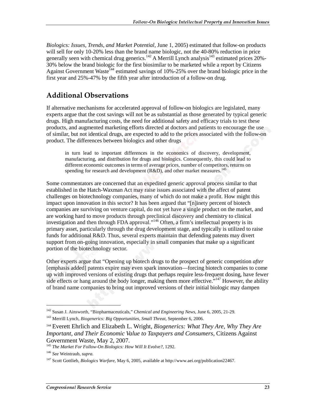*Biologics: Issues, Trends, and Market Potential*, June 1, 2005) estimated that follow-on products will sell for only 10-20% less than the brand name biologic, not the 40-80% reduction in price generally seen with chemical drug generics.<sup>142</sup> A Merrill Lynch analysis<sup>143</sup> estimated prices 20%-30% below the brand biologic for the first biosimilar to be marketed while a report by Citizens Against Government Waste<sup>144</sup> estimated savings of 10%-25% over the brand biologic price in the first year and 25%-47% by the fifth year after introduction of a follow-on drug.

#### **Additional Observations**

If alternative mechanisms for accelerated approval of follow-on biologics are legislated, many experts argue that the cost savings will not be as substantial as those generated by typical generic drugs. High manufacturing costs, the need for additional safety and efficacy trials to test these products, and augmented marketing efforts directed at doctors and patients to encourage the use of similar, but not identical drugs, are expected to add to the prices associated with the follow-on product. The differences between biologics and other drugs

in turn lead to important differences in the economics of discovery, development, manufacturing, and distribution for drugs and biologics. Consequently, this could lead to different economic outcomes in terms of average prices, number of competitors, returns on spending for research and development  $(R&D)$ , and other market measures.<sup>145</sup>

Some commentators are concerned that an expedited generic approval process similar to that established in the Hatch-Waxman Act may raise issues associated with the affect of patent challenges on biotechnology companies, many of which do not make a profit. How might this impact upon innovation in this sector? It has been argued that "[n]inety percent of biotech companies are surviving on venture capital, do not yet have a single product on the market, and are working hard to move products through preclinical discovery and chemistry to clinical investigation and then through FDA approval."146 Often, a firm's intellectual property is its primary asset, particularly through the drug development stage, and typically is utilized to raise funds for additional R&D. Thus, several experts maintain that defending patents may divert support from on-going innovation, especially in small companies that make up a significant portion of the biotechnology sector.

Other experts argue that "Opening up biotech drugs to the prospect of generic competition *after* [emphasis added] patents expire may even spark innovation—forcing biotech companies to come up with improved versions of existing drugs that perhaps require less-frequent dosing, have fewer side effects or hang around the body longer, making them more effective.<sup>5,147</sup> However, the ability of brand name companies to bring out improved versions of their initial biologic may dampen

<sup>142</sup> Susan J. Ainsworth, "Biopharmaceuticals," *Chemical and Engineering News*, June 6, 2005, 21-29.

<sup>143</sup> Merrill Lynch, *Biogenerics: Big Opportunities, Small Threat*, September 6, 2006.

<sup>144</sup> Everett Ehrlich and Elizabeth L. Wright, *Biogenerics: What They Are, Why They Are Important, and Their Economic Value to Taxpayers and Consumers*, Citizens Against Government Waste, May 2, 2007.

<sup>145</sup> *The Market For Follow-On Biologics: How Will It Evolve?*, 1292.

<sup>146</sup> *See* Weintraub, *supra.*

<sup>147</sup> Scott Gottlieb, *Biologics Warfare*, May 6, 2005, available at http://www.aei.org/publication22467.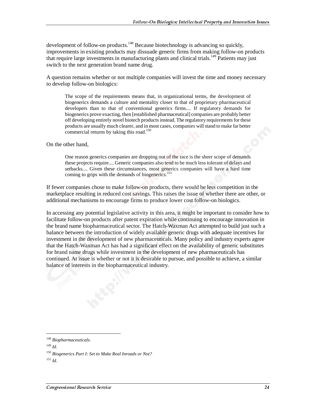development of follow-on products.<sup>148</sup> Because biotechnology is advancing so quickly, improvements in existing products may dissuade generic firms from making follow-on products that require large investments in manufacturing plants and clinical trials.<sup>149</sup> Patients may just switch to the next generation brand name drug.

A question remains whether or not multiple companies will invest the time and money necessary to develop follow-on biologics:

The scope of the requirements means that, in organizational terms, the development of biogenerics demands a culture and mentality closer to that of proprietary pharmaceutical developers than to that of conventional generics firms.... If regulatory demands for biogenerics prove exacting, then [established pharmaceutical] companies are probably better off developing entirely novel biotech products instead. The regulatory requirements for these products are usually much clearer, and in most cases, companies will stand to make far better commercial returns by taking this road.<sup>150</sup>

On the other hand,

One reason generics companies are dropping out of the race is the sheer scope of demands these projects require.... Generic companies also tend to be much less tolerant of delays and setbacks.... Given these circumstances, most generics companies will have a hard time coming to grips with the demands of biogenerics.<sup>151</sup>

If fewer companies chose to make follow-on products, there would be less competition in the marketplace resulting in reduced cost savings. This raises the issue of whether there are other, or additional mechanisms to encourage firms to produce lower cost follow-on biologics.

In accessing any potential legislative activity in this area, it might be important to consider how to facilitate follow-on products after patent expiration while continuing to encourage innovation in the brand name biopharmaceutical sector. The Hatch-Waxman Act attempted to build just such a balance between the introduction of widely available generic drugs with adequate incentives for investment in the development of new pharmaceuticals. Many policy and industry experts agree that the Hatch-Waxman Act has had a significant effect on the availability of generic substitutes for brand name drugs while investment in the development of new pharmaceuticals has continued. At issue is whether or not it is desirable to pursue, and possible to achieve, a similar balance of interests in the biopharmaceutical industry.

<sup>148</sup> *Biopharmaceuticals.*

<sup>149</sup> *Id.*

<sup>150</sup> *Biogenerics Part I: Set to Make Real Inroads or Not?*

<sup>151</sup> *Id.*